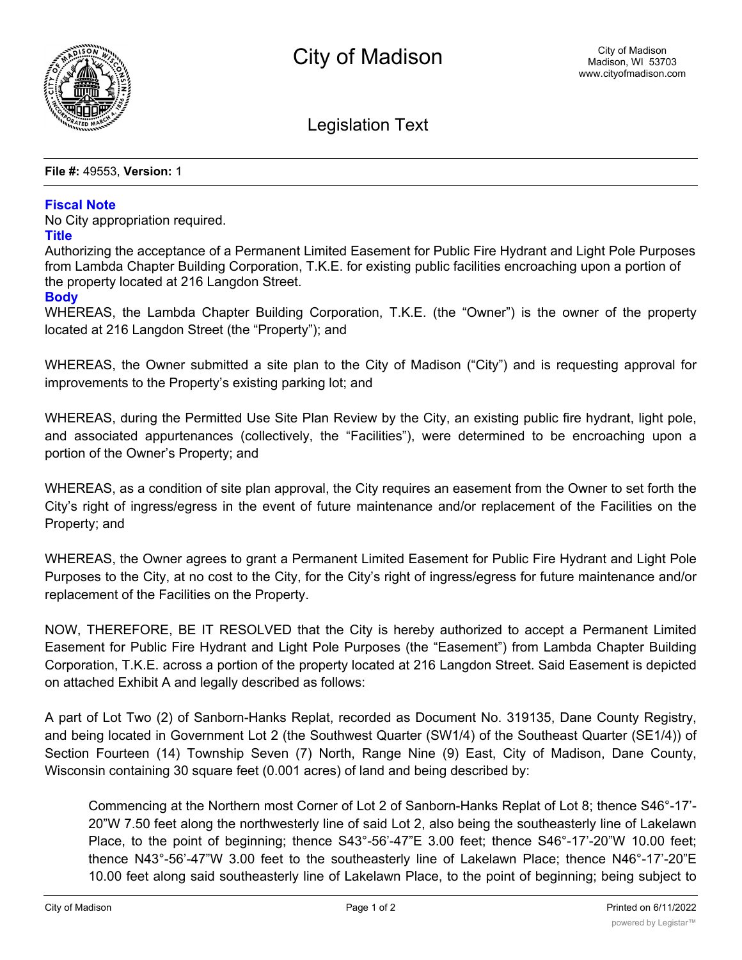

Legislation Text

**File #:** 49553, **Version:** 1

## **Fiscal Note**

No City appropriation required.

## **Title**

Authorizing the acceptance of a Permanent Limited Easement for Public Fire Hydrant and Light Pole Purposes from Lambda Chapter Building Corporation, T.K.E. for existing public facilities encroaching upon a portion of the property located at 216 Langdon Street.

## **Body**

WHEREAS, the Lambda Chapter Building Corporation, T.K.E. (the "Owner") is the owner of the property located at 216 Langdon Street (the "Property"); and

WHEREAS, the Owner submitted a site plan to the City of Madison ("City") and is requesting approval for improvements to the Property's existing parking lot; and

WHEREAS, during the Permitted Use Site Plan Review by the City, an existing public fire hydrant, light pole, and associated appurtenances (collectively, the "Facilities"), were determined to be encroaching upon a portion of the Owner's Property; and

WHEREAS, as a condition of site plan approval, the City requires an easement from the Owner to set forth the City's right of ingress/egress in the event of future maintenance and/or replacement of the Facilities on the Property; and

WHEREAS, the Owner agrees to grant a Permanent Limited Easement for Public Fire Hydrant and Light Pole Purposes to the City, at no cost to the City, for the City's right of ingress/egress for future maintenance and/or replacement of the Facilities on the Property.

NOW, THEREFORE, BE IT RESOLVED that the City is hereby authorized to accept a Permanent Limited Easement for Public Fire Hydrant and Light Pole Purposes (the "Easement") from Lambda Chapter Building Corporation, T.K.E. across a portion of the property located at 216 Langdon Street. Said Easement is depicted on attached Exhibit A and legally described as follows:

A part of Lot Two (2) of Sanborn-Hanks Replat, recorded as Document No. 319135, Dane County Registry, and being located in Government Lot 2 (the Southwest Quarter (SW1/4) of the Southeast Quarter (SE1/4)) of Section Fourteen (14) Township Seven (7) North, Range Nine (9) East, City of Madison, Dane County, Wisconsin containing 30 square feet (0.001 acres) of land and being described by:

Commencing at the Northern most Corner of Lot 2 of Sanborn-Hanks Replat of Lot 8; thence S46°-17'- 20"W 7.50 feet along the northwesterly line of said Lot 2, also being the southeasterly line of Lakelawn Place, to the point of beginning; thence S43°-56'-47"E 3.00 feet; thence S46°-17'-20"W 10.00 feet; thence N43°-56'-47"W 3.00 feet to the southeasterly line of Lakelawn Place; thence N46°-17'-20"E 10.00 feet along said southeasterly line of Lakelawn Place, to the point of beginning; being subject to